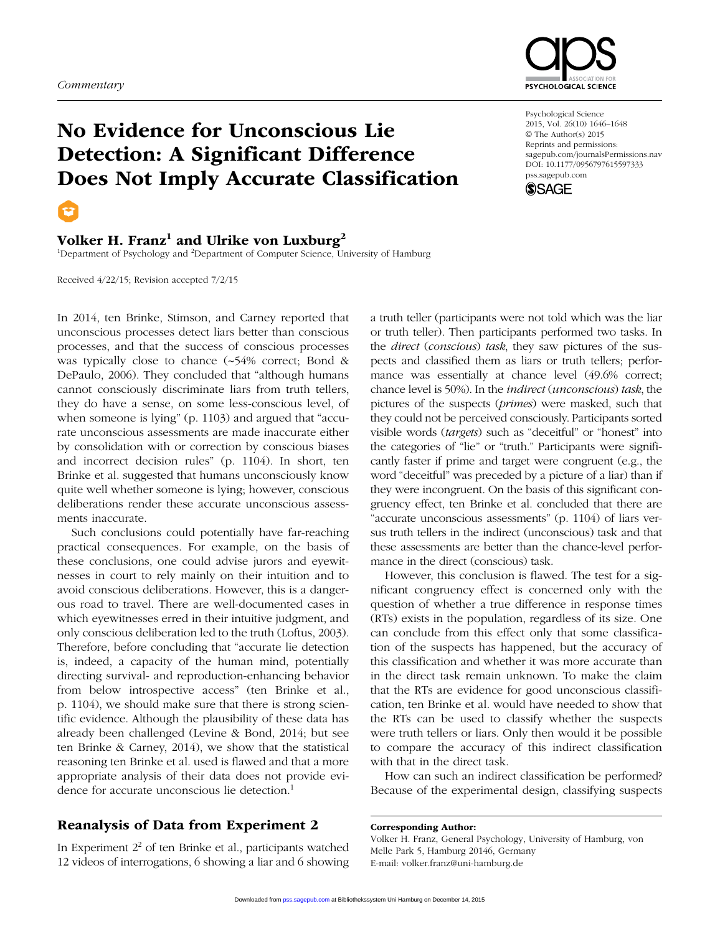#### *Commentary*





# Volker H. Franz $^1$  and Ulrike von Luxburg $^2$

<sup>1</sup>Department of Psychology and <sup>2</sup>Department of Computer Science, University of Hamburg

Received 4/22/15; Revision accepted 7/2/15

In 2014, ten Brinke, Stimson, and Carney reported that unconscious processes detect liars better than conscious processes, and that the success of conscious processes was typically close to chance (~54% correct; Bond & DePaulo, 2006). They concluded that "although humans cannot consciously discriminate liars from truth tellers, they do have a sense, on some less-conscious level, of when someone is lying" (p. 1103) and argued that "accurate unconscious assessments are made inaccurate either by consolidation with or correction by conscious biases and incorrect decision rules" (p. 1104). In short, ten Brinke et al. suggested that humans unconsciously know quite well whether someone is lying; however, conscious deliberations render these accurate unconscious assessments inaccurate.

Such conclusions could potentially have far-reaching practical consequences. For example, on the basis of these conclusions, one could advise jurors and eyewitnesses in court to rely mainly on their intuition and to avoid conscious deliberations. However, this is a dangerous road to travel. There are well-documented cases in which eyewitnesses erred in their intuitive judgment, and only conscious deliberation led to the truth (Loftus, 2003). Therefore, before concluding that "accurate lie detection is, indeed, a capacity of the human mind, potentially directing survival- and reproduction-enhancing behavior from below introspective access" (ten Brinke et al., p. 1104), we should make sure that there is strong scientific evidence. Although the plausibility of these data has already been challenged (Levine & Bond, 2014; but see ten Brinke & Carney, 2014), we show that the statistical reasoning ten Brinke et al. used is flawed and that a more appropriate analysis of their data does not provide evidence for accurate unconscious lie detection.<sup>1</sup>

## Reanalysis of Data from Experiment 2

In Experiment  $2<sup>2</sup>$  of ten Brinke et al., participants watched 12 videos of interrogations, 6 showing a liar and 6 showing

a truth teller (participants were not told which was the liar or truth teller). Then participants performed two tasks. In the *direct* (*conscious*) *task*, they saw pictures of the suspects and classified them as liars or truth tellers; performance was essentially at chance level (49.6% correct; chance level is 50%). In the *indirect* (*unconscious*) *task*, the pictures of the suspects (*primes*) were masked, such that they could not be perceived consciously. Participants sorted visible words (*targets*) such as "deceitful" or "honest" into the categories of "lie" or "truth." Participants were significantly faster if prime and target were congruent (e.g., the word "deceitful" was preceded by a picture of a liar) than if they were incongruent. On the basis of this significant congruency effect, ten Brinke et al. concluded that there are "accurate unconscious assessments" (p. 1104) of liars versus truth tellers in the indirect (unconscious) task and that these assessments are better than the chance-level performance in the direct (conscious) task.

However, this conclusion is flawed. The test for a significant congruency effect is concerned only with the question of whether a true difference in response times (RTs) exists in the population, regardless of its size. One can conclude from this effect only that some classification of the suspects has happened, but the accuracy of this classification and whether it was more accurate than in the direct task remain unknown. To make the claim that the RTs are evidence for good unconscious classification, ten Brinke et al. would have needed to show that the RTs can be used to classify whether the suspects were truth tellers or liars. Only then would it be possible to compare the accuracy of this indirect classification with that in the direct task.

How can such an indirect classification be performed? Because of the experimental design, classifying suspects

#### Corresponding Author:

Volker H. Franz, General Psychology, University of Hamburg, von Melle Park 5, Hamburg 20146, Germany E-mail: volker.franz@uni-hamburg.de



Psychological Science 2015, Vol. 26(10) 1646–1648 © The Author(s) 2015 Reprints and permissions: sagepub.com/journalsPermissions.nav DOI: 10.1177/0956797615597333 pss.sagepub.com

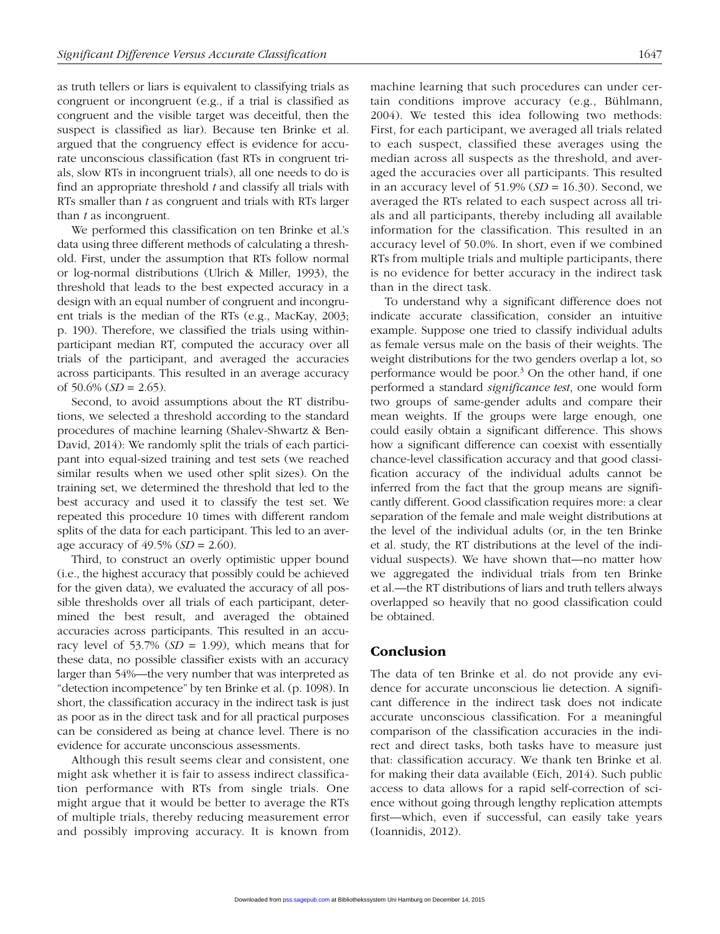as truth tellers or liars is equivalent to classifying trials as congruent or incongruent (e.g., if a trial is classified as congruent and the visible target was deceitful, then the suspect is classified as liar). Because ten Brinke et al. argued that the congruency effect is evidence for accurate unconscious classification (fast RTs in congruent trials, slow RTs in incongruent trials), all one needs to do is find an appropriate threshold *t* and classify all trials with RTs smaller than *t* as congruent and trials with RTs larger than *t* as incongruent.

We performed this classification on ten Brinke et al.'s data using three different methods of calculating a threshold. First, under the assumption that RTs follow normal or log-normal distributions (Ulrich & Miller, 1993), the threshold that leads to the best expected accuracy in a design with an equal number of congruent and incongruent trials is the median of the RTs (e.g., MacKay, 2003; p. 190). Therefore, we classified the trials using withinparticipant median RT, computed the accuracy over all trials of the participant, and averaged the accuracies across participants. This resulted in an average accuracy of 50.6% (*SD* = 2.65).

Second, to avoid assumptions about the RT distributions, we selected a threshold according to the standard procedures of machine learning (Shalev-Shwartz & Ben-David, 2014): We randomly split the trials of each participant into equal-sized training and test sets (we reached similar results when we used other split sizes). On the training set, we determined the threshold that led to the best accuracy and used it to classify the test set. We repeated this procedure 10 times with different random splits of the data for each participant. This led to an average accuracy of 49.5% (*SD* = 2.60).

Third, to construct an overly optimistic upper bound (i.e., the highest accuracy that possibly could be achieved for the given data), we evaluated the accuracy of all possible thresholds over all trials of each participant, determined the best result, and averaged the obtained accuracies across participants. This resulted in an accuracy level of 53.7%  $(SD = 1.99)$ , which means that for these data, no possible classifier exists with an accuracy larger than 54%—the very number that was interpreted as "detection incompetence" by ten Brinke et al. (p. 1098). In short, the classification accuracy in the indirect task is just as poor as in the direct task and for all practical purposes can be considered as being at chance level. There is no evidence for accurate unconscious assessments.

Although this result seems clear and consistent, one might ask whether it is fair to assess indirect classification performance with RTs from single trials. One might argue that it would be better to average the RTs of multiple trials, thereby reducing measurement error and possibly improving accuracy. It is known from machine learning that such procedures can under certain conditions improve accuracy (e.g., Bühlmann, 2004). We tested this idea following two methods: First, for each participant, we averaged all trials related to each suspect, classified these averages using the median across all suspects as the threshold, and averaged the accuracies over all participants. This resulted in an accuracy level of  $51.9\%$  ( $SD = 16.30$ ). Second, we averaged the RTs related to each suspect across all trials and all participants, thereby including all available information for the classification. This resulted in an accuracy level of 50.0%. In short, even if we combined RTs from multiple trials and multiple participants, there is no evidence for better accuracy in the indirect task than in the direct task.

To understand why a significant difference does not indicate accurate classification, consider an intuitive example. Suppose one tried to classify individual adults as female versus male on the basis of their weights. The weight distributions for the two genders overlap a lot, so performance would be poor. $3$  On the other hand, if one performed a standard *significance test*, one would form two groups of same-gender adults and compare their mean weights. If the groups were large enough, one could easily obtain a significant difference. This shows how a significant difference can coexist with essentially chance-level classification accuracy and that good classification accuracy of the individual adults cannot be inferred from the fact that the group means are significantly different. Good classification requires more: a clear separation of the female and male weight distributions at the level of the individual adults (or, in the ten Brinke et al. study, the RT distributions at the level of the individual suspects). We have shown that—no matter how we aggregated the individual trials from ten Brinke et al.—the RT distributions of liars and truth tellers always overlapped so heavily that no good classification could be obtained.

## Conclusion

The data of ten Brinke et al. do not provide any evidence for accurate unconscious lie detection. A significant difference in the indirect task does not indicate accurate unconscious classification. For a meaningful comparison of the classification accuracies in the indirect and direct tasks, both tasks have to measure just that: classification accuracy. We thank ten Brinke et al. for making their data available (Eich, 2014). Such public access to data allows for a rapid self-correction of science without going through lengthy replication attempts first—which, even if successful, can easily take years (Ioannidis, 2012).